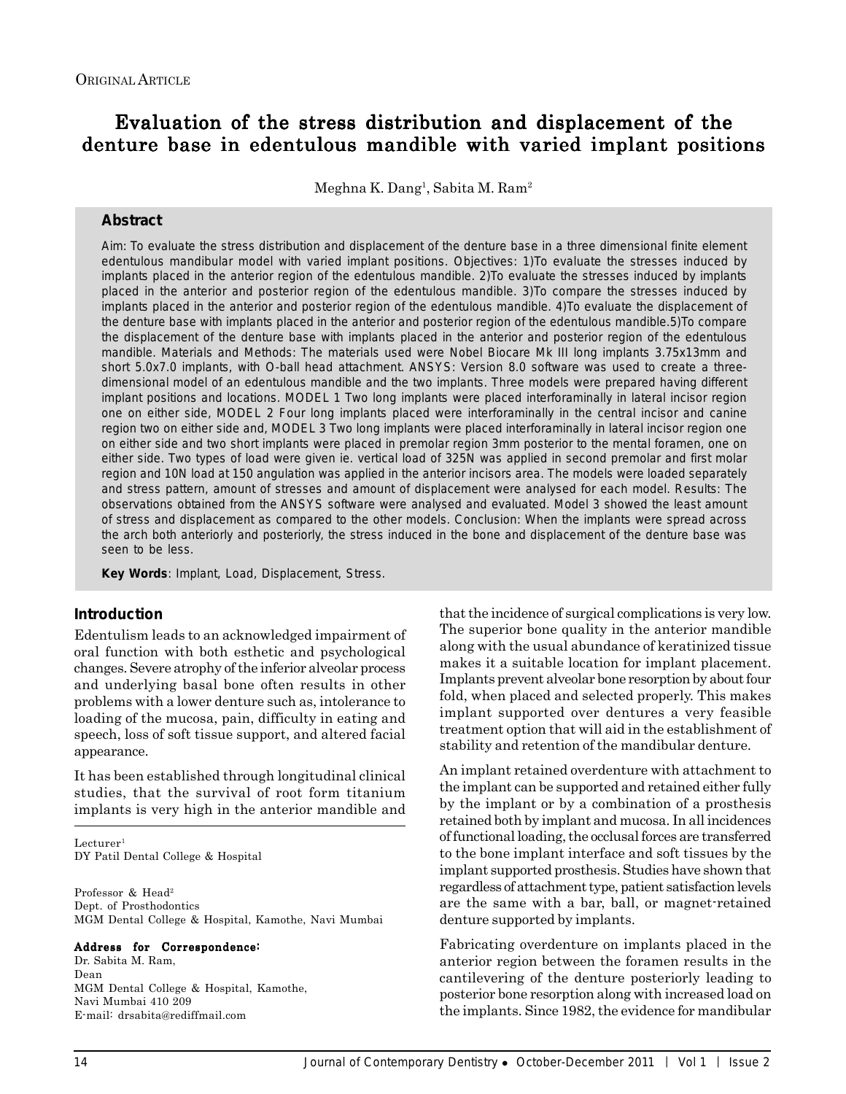# Evaluation of the stress distribution and displacement of the denture base in edentulous mandible with varied implant positions

Meghna K. Dang<sup>1</sup>, Sabita M. Ram<sup>2</sup>

### **Abstract**

*Aim:* To evaluate the stress distribution and displacement of the denture base in a three dimensional finite element edentulous mandibular model with varied implant positions. *Objectives:* 1)To evaluate the stresses induced by implants placed in the anterior region of the edentulous mandible. 2)To evaluate the stresses induced by implants placed in the anterior and posterior region of the edentulous mandible. 3)To compare the stresses induced by implants placed in the anterior and posterior region of the edentulous mandible. 4)To evaluate the displacement of the denture base with implants placed in the anterior and posterior region of the edentulous mandible.5)To compare the displacement of the denture base with implants placed in the anterior and posterior region of the edentulous mandible. *Materials and Methods:* The materials used were Nobel Biocare Mk III long implants 3.75x13mm and short 5.0x7.0 implants, with O-ball head attachment. ANSYS: Version 8.0 software was used to create a threedimensional model of an edentulous mandible and the two implants. Three models were prepared having different implant positions and locations. MODEL 1 Two long implants were placed interforaminally in lateral incisor region one on either side, MODEL 2 Four long implants placed were interforaminally in the central incisor and canine region two on either side and, MODEL 3 Two long implants were placed interforaminally in lateral incisor region one on either side and two short implants were placed in premolar region 3mm posterior to the mental foramen, one on either side. Two types of load were given ie. vertical load of 325N was applied in second premolar and first molar region and 10N load at 150 angulation was applied in the anterior incisors area. The models were loaded separately and stress pattern, amount of stresses and amount of displacement were analysed for each model. *Results:* The observations obtained from the ANSYS software were analysed and evaluated. Model 3 showed the least amount of stress and displacement as compared to the other models. *Conclusion:* When the implants were spread across the arch both anteriorly and posteriorly, the stress induced in the bone and displacement of the denture base was seen to be less.

**Key Words**: Implant, Load, Displacement, Stress.

# **Introduction**

Edentulism leads to an acknowledged impairment of oral function with both esthetic and psychological changes. Severe atrophy of the inferior alveolar process and underlying basal bone often results in other problems with a lower denture such as, intolerance to loading of the mucosa, pain, difficulty in eating and speech, loss of soft tissue support, and altered facial appearance.

It has been established through longitudinal clinical studies, that the survival of root form titanium implants is very high in the anterior mandible and

 $Lecturer<sup>1</sup>$ DY Patil Dental College & Hospital

Professor & Head<sup>2</sup> Dept. of Prosthodontics MGM Dental College & Hospital, Kamothe, Navi Mumbai

#### Address for Correspondence:

Dr. Sabita M. Ram, Dean MGM Dental College & Hospital, Kamothe, Navi Mumbai 410 209 E-mail: drsabita@rediffmail.com

that the incidence of surgical complications is very low. The superior bone quality in the anterior mandible along with the usual abundance of keratinized tissue makes it a suitable location for implant placement. Implants prevent alveolar bone resorption by about four fold, when placed and selected properly. This makes implant supported over dentures a very feasible treatment option that will aid in the establishment of stability and retention of the mandibular denture.

An implant retained overdenture with attachment to the implant can be supported and retained either fully by the implant or by a combination of a prosthesis retained both by implant and mucosa. In all incidences of functional loading, the occlusal forces are transferred to the bone implant interface and soft tissues by the implant supported prosthesis. Studies have shown that regardless of attachment type, patient satisfaction levels are the same with a bar, ball, or magnet-retained denture supported by implants.

Fabricating overdenture on implants placed in the anterior region between the foramen results in the cantilevering of the denture posteriorly leading to posterior bone resorption along with increased load on the implants. Since 1982, the evidence for mandibular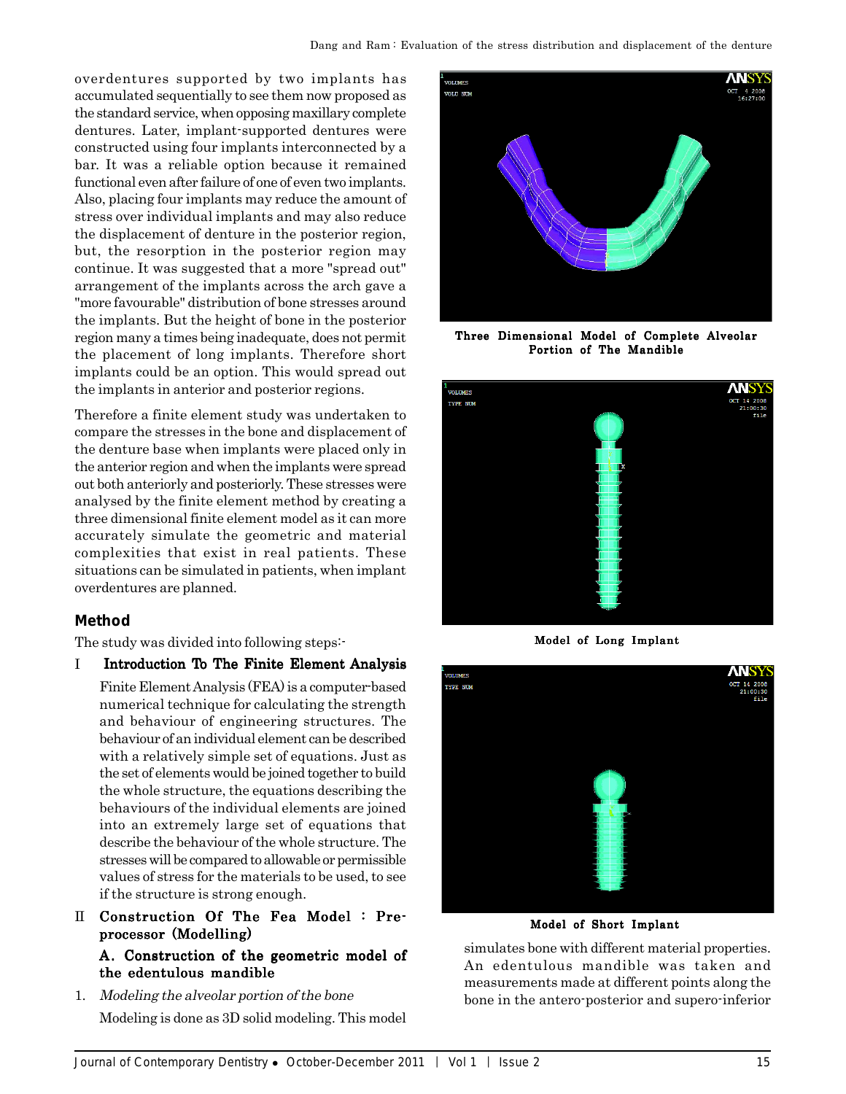overdentures supported by two implants has accumulated sequentially to see them now proposed as the standard service, when opposing maxillary complete dentures. Later, implant-supported dentures were constructed using four implants interconnected by a bar. It was a reliable option because it remained functional even after failure of one of even two implants. Also, placing four implants may reduce the amount of stress over individual implants and may also reduce the displacement of denture in the posterior region, but, the resorption in the posterior region may continue. It was suggested that a more "spread out" arrangement of the implants across the arch gave a "more favourable" distribution of bone stresses around the implants. But the height of bone in the posterior region many a times being inadequate, does not permit the placement of long implants. Therefore short implants could be an option. This would spread out the implants in anterior and posterior regions.

Therefore a finite element study was undertaken to compare the stresses in the bone and displacement of the denture base when implants were placed only in the anterior region and when the implants were spread out both anteriorly and posteriorly. These stresses were analysed by the finite element method by creating a three dimensional finite element model as it can more accurately simulate the geometric and material complexities that exist in real patients. These situations can be simulated in patients, when implant overdentures are planned.

# **Method**

The study was divided into following steps:-

# I Introduction To The Finite Element Analysis

Finite Element Analysis (FEA) is a computer-based numerical technique for calculating the strength and behaviour of engineering structures. The behaviour of an individual element can be described with a relatively simple set of equations. Just as the set of elements would be joined together to build the whole structure, the equations describing the behaviours of the individual elements are joined into an extremely large set of equations that describe the behaviour of the whole structure. The stresses will be compared to allowable or permissible values of stress for the materials to be used, to see if the structure is strong enough.

- II Construction Of The Fea Model : Preprocessor (Modelling) processor (Modelling) A. Construction of the geometric model of the edentulous mandible
- 1. Modeling the alveolar portion of the bone Modeling is done as 3D solid modeling. This model



Three Dimensional Model of Complete Alveolar Portion of The Mandible



Model of Long Implant



Model of Short Implant

simulates bone with different material properties. An edentulous mandible was taken and measurements made at different points along the bone in the antero-posterior and supero-inferior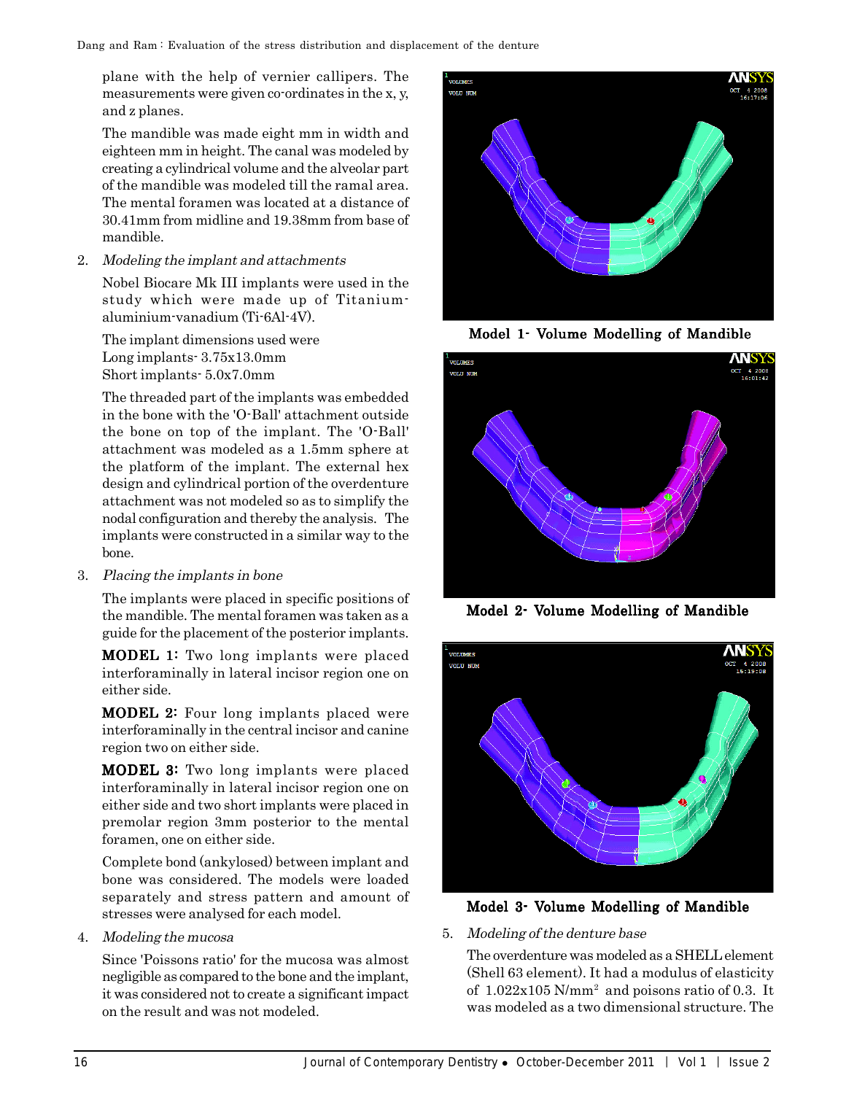plane with the help of vernier callipers. The measurements were given co-ordinates in the x, y, and z planes.

The mandible was made eight mm in width and eighteen mm in height. The canal was modeled by creating a cylindrical volume and the alveolar part of the mandible was modeled till the ramal area. The mental foramen was located at a distance of 30.41mm from midline and 19.38mm from base of mandible.

2. Modeling the implant and attachments

Nobel Biocare Mk III implants were used in the study which were made up of Titaniumaluminium-vanadium (Ti-6Al-4V).

The implant dimensions used were Long implants- 3.75x13.0mm Short implants- 5.0x7.0mm

The threaded part of the implants was embedded in the bone with the 'O-Ball' attachment outside the bone on top of the implant. The 'O-Ball' attachment was modeled as a 1.5mm sphere at the platform of the implant. The external hex design and cylindrical portion of the overdenture attachment was not modeled so as to simplify the nodal configuration and thereby the analysis. The implants were constructed in a similar way to the bone.

3. Placing the implants in bone

The implants were placed in specific positions of the mandible. The mental foramen was taken as a guide for the placement of the posterior implants.

**MODEL 1:** Two long implants were placed interforaminally in lateral incisor region one on either side.

**MODEL 2:** Four long implants placed were interforaminally in the central incisor and canine region two on either side.

**MODEL 3:** Two long implants were placed interforaminally in lateral incisor region one on either side and two short implants were placed in premolar region 3mm posterior to the mental foramen, one on either side.

Complete bond (ankylosed) between implant and bone was considered. The models were loaded separately and stress pattern and amount of stresses were analysed for each model.

4. Modeling the mucosa

Since 'Poissons ratio' for the mucosa was almost negligible as compared to the bone and the implant, it was considered not to create a significant impact on the result and was not modeled.



Model 1- Volume Modelling of Mandible



Model 2- Volume Modelling of Mandible





# 5. Modeling of the denture base

The overdenture was modeled as a SHELL element (Shell 63 element). It had a modulus of elasticity of  $1.022 \times 105$  N/mm<sup>2</sup> and poisons ratio of 0.3. It was modeled as a two dimensional structure. The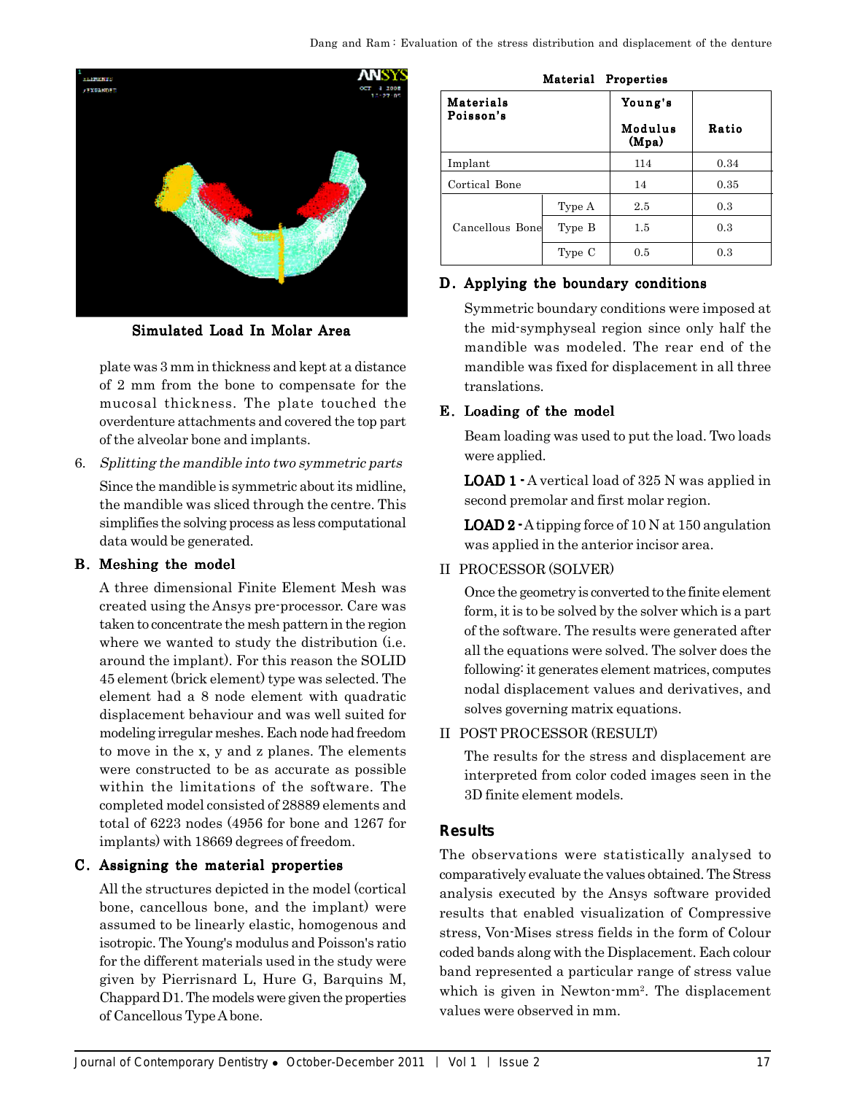

Simulated Load In Molar Area

plate was 3 mm in thickness and kept at a distance of 2 mm from the bone to compensate for the mucosal thickness. The plate touched the overdenture attachments and covered the top part of the alveolar bone and implants.

6. Splitting the mandible into two symmetric parts

Since the mandible is symmetric about its midline, the mandible was sliced through the centre. This simplifies the solving process as less computational data would be generated.

# B. Meshing the model

A three dimensional Finite Element Mesh was created using the Ansys pre-processor. Care was taken to concentrate the mesh pattern in the region where we wanted to study the distribution (i.e. around the implant). For this reason the SOLID 45 element (brick element) type was selected. The element had a 8 node element with quadratic displacement behaviour and was well suited for modeling irregular meshes. Each node had freedom to move in the x, y and z planes. The elements were constructed to be as accurate as possible within the limitations of the software. The completed model consisted of 28889 elements and total of 6223 nodes (4956 for bone and 1267 for implants) with 18669 degrees of freedom.

# C. Assigning the material properties

All the structures depicted in the model (cortical bone, cancellous bone, and the implant) were assumed to be linearly elastic, homogenous and isotropic. The Young's modulus and Poisson's ratio for the different materials used in the study were given by Pierrisnard L, Hure G, Barquins M, Chappard D1. The models were given the properties of Cancellous Type A bone.

| Material Properties    |        |                  |       |  |  |
|------------------------|--------|------------------|-------|--|--|
| Materials<br>Poisson's |        | Young's          |       |  |  |
|                        |        | Modulus<br>(Mpa) | Ratio |  |  |
| Implant                |        | 114              | 0.34  |  |  |
| Cortical Bone          |        | 14               | 0.35  |  |  |
| Cancellous Bone        | Type A | 2.5              | 0.3   |  |  |
|                        | Type B | 1.5              | 0.3   |  |  |
|                        | Type C | 0.5              | 0.3   |  |  |

### D. Applying the boundary conditions

Symmetric boundary conditions were imposed at the mid-symphyseal region since only half the mandible was modeled. The rear end of the mandible was fixed for displacement in all three translations.

# E. Loading of the model

Beam loading was used to put the load. Two loads were applied.

**LOAD 1**  $\cdot$  A vertical load of 325 N was applied in second premolar and first molar region.

**LOAD 2**  $\cdot$  A tipping force of 10 N at 150 angulation was applied in the anterior incisor area.

# II PROCESSOR (SOLVER)

Once the geometry is converted to the finite element form, it is to be solved by the solver which is a part of the software. The results were generated after all the equations were solved. The solver does the following: it generates element matrices, computes nodal displacement values and derivatives, and solves governing matrix equations.

II POST PROCESSOR (RESULT)

The results for the stress and displacement are interpreted from color coded images seen in the 3D finite element models.

# **Results**

The observations were statistically analysed to comparatively evaluate the values obtained. The Stress analysis executed by the Ansys software provided results that enabled visualization of Compressive stress, Von-Mises stress fields in the form of Colour coded bands along with the Displacement. Each colour band represented a particular range of stress value which is given in Newton-mm<sup>2</sup>. The displacement values were observed in mm.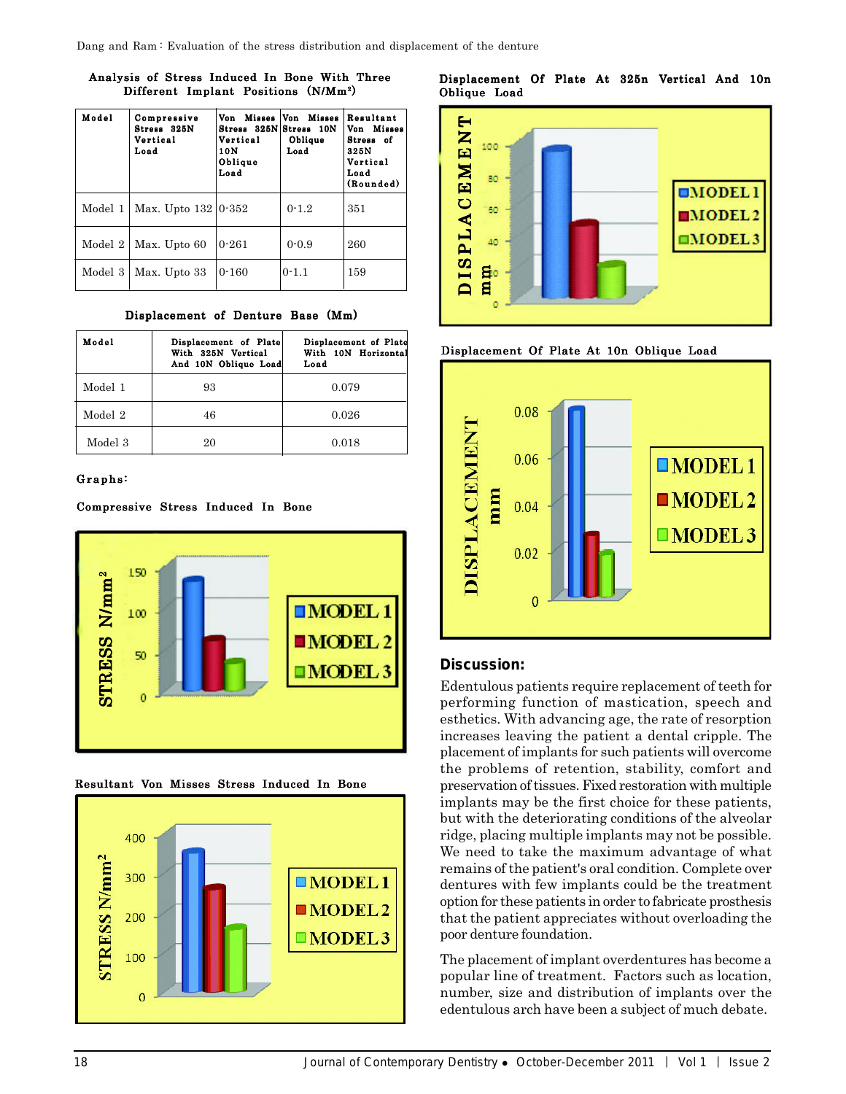#### Analysis of Stress Induced In Bone With Three Different Implant Positions (N/Mm2)

| Model   | Compressive<br>Stress 325N<br>Vertical<br>Load | Von Misses Von Misses<br>Stress 325N Stress 10N<br>Vertical<br>10N<br>Oblique<br>Load | Oblique<br>Load | Resultant<br>Von Misses<br>Stress of<br>325N<br>Vertical<br>Load<br>(Rounded) |
|---------|------------------------------------------------|---------------------------------------------------------------------------------------|-----------------|-------------------------------------------------------------------------------|
| Model 1 | Max. Upto $132 0.352$                          |                                                                                       | $0 - 1.2$       | 351                                                                           |
| Model 2 | Max. Upto 60                                   | $0 - 261$                                                                             | $0 - 0.9$       | 260                                                                           |
| Model 3 | Max. Upto 33                                   | $0 - 160$                                                                             | $0 - 1.1$       | 159                                                                           |

Displacement of Denture Base (Mm)

| Model   | Displacement of Plate<br>With 325N Vertical<br>And 10N Oblique Load | Displacement of Plate<br>With 10N Horizontal<br>Load |
|---------|---------------------------------------------------------------------|------------------------------------------------------|
| Model 1 | 93                                                                  | 0.079                                                |
| Model 2 | 46                                                                  | 0.026                                                |
| Model 3 | 20                                                                  | 0.018                                                |

# Graphs:

Compressive Stress Induced In Bone













# **Discussion:**

Edentulous patients require replacement of teeth for performing function of mastication, speech and esthetics. With advancing age, the rate of resorption increases leaving the patient a dental cripple. The placement of implants for such patients will overcome the problems of retention, stability, comfort and preservation of tissues. Fixed restoration with multiple implants may be the first choice for these patients, but with the deteriorating conditions of the alveolar ridge, placing multiple implants may not be possible. We need to take the maximum advantage of what remains of the patient's oral condition. Complete over dentures with few implants could be the treatment option for these patients in order to fabricate prosthesis that the patient appreciates without overloading the poor denture foundation.

The placement of implant overdentures has become a popular line of treatment. Factors such as location, number, size and distribution of implants over the edentulous arch have been a subject of much debate.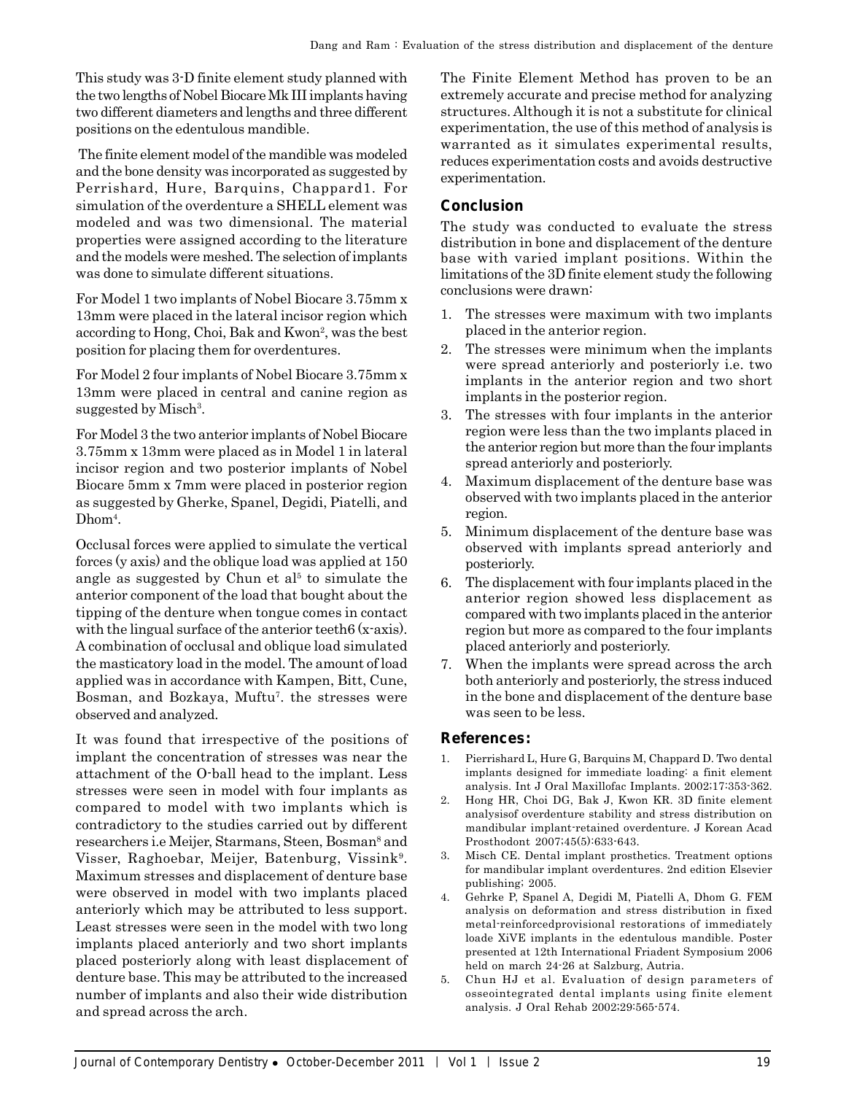This study was 3-D finite element study planned with the two lengths of Nobel Biocare Mk III implants having two different diameters and lengths and three different positions on the edentulous mandible.

 The finite element model of the mandible was modeled and the bone density was incorporated as suggested by Perrishard, Hure, Barquins, Chappard1. For simulation of the overdenture a SHELL element was modeled and was two dimensional. The material properties were assigned according to the literature and the models were meshed. The selection of implants was done to simulate different situations.

For Model 1 two implants of Nobel Biocare 3.75mm x 13mm were placed in the lateral incisor region which according to Hong, Choi, Bak and Kwon<sup>2</sup>, was the best position for placing them for overdentures.

For Model 2 four implants of Nobel Biocare 3.75mm x 13mm were placed in central and canine region as suggested by Misch<sup>3</sup>.

For Model 3 the two anterior implants of Nobel Biocare 3.75mm x 13mm were placed as in Model 1 in lateral incisor region and two posterior implants of Nobel Biocare 5mm x 7mm were placed in posterior region as suggested by Gherke, Spanel, Degidi, Piatelli, and Dhom<sup>4</sup>.

Occlusal forces were applied to simulate the vertical forces (y axis) and the oblique load was applied at 150 angle as suggested by Chun et  $a^{15}$  to simulate the anterior component of the load that bought about the tipping of the denture when tongue comes in contact with the lingual surface of the anterior teeth 6 (x-axis). A combination of occlusal and oblique load simulated the masticatory load in the model. The amount of load applied was in accordance with Kampen, Bitt, Cune, Bosman, and Bozkaya, Muftu<sup>7</sup>. the stresses were observed and analyzed.

It was found that irrespective of the positions of implant the concentration of stresses was near the attachment of the O-ball head to the implant. Less stresses were seen in model with four implants as compared to model with two implants which is contradictory to the studies carried out by different researchers i.e Meijer, Starmans, Steen, Bosman<sup>s</sup> and Visser, Raghoebar, Meijer, Batenburg, Vissink<sup>9</sup>. Maximum stresses and displacement of denture base were observed in model with two implants placed anteriorly which may be attributed to less support. Least stresses were seen in the model with two long implants placed anteriorly and two short implants placed posteriorly along with least displacement of denture base. This may be attributed to the increased number of implants and also their wide distribution and spread across the arch.

The Finite Element Method has proven to be an extremely accurate and precise method for analyzing structures. Although it is not a substitute for clinical experimentation, the use of this method of analysis is warranted as it simulates experimental results, reduces experimentation costs and avoids destructive experimentation.

# **Conclusion**

The study was conducted to evaluate the stress distribution in bone and displacement of the denture base with varied implant positions. Within the limitations of the 3D finite element study the following conclusions were drawn:

- 1. The stresses were maximum with two implants placed in the anterior region.
- 2. The stresses were minimum when the implants were spread anteriorly and posteriorly i.e. two implants in the anterior region and two short implants in the posterior region.
- 3. The stresses with four implants in the anterior region were less than the two implants placed in the anterior region but more than the four implants spread anteriorly and posteriorly.
- 4. Maximum displacement of the denture base was observed with two implants placed in the anterior region.
- 5. Minimum displacement of the denture base was observed with implants spread anteriorly and posteriorly.
- 6. The displacement with four implants placed in the anterior region showed less displacement as compared with two implants placed in the anterior region but more as compared to the four implants placed anteriorly and posteriorly.
- 7. When the implants were spread across the arch both anteriorly and posteriorly, the stress induced in the bone and displacement of the denture base was seen to be less.

# **References:**

- 1. Pierrishard L, Hure G, Barquins M, Chappard D. Two dental implants designed for immediate loading: a finit element analysis. Int J Oral Maxillofac Implants. 2002;17:353-362.
- 2. Hong HR, Choi DG, Bak J, Kwon KR. 3D finite element analysisof overdenture stability and stress distribution on mandibular implant-retained overdenture. J Korean Acad Prosthodont 2007;45(5):633-643.
- 3. Misch CE. Dental implant prosthetics. Treatment options for mandibular implant overdentures. 2nd edition Elsevier publishing; 2005.
- 4. Gehrke P, Spanel A, Degidi M, Piatelli A, Dhom G. FEM analysis on deformation and stress distribution in fixed metal-reinforcedprovisional restorations of immediately loade XiVE implants in the edentulous mandible. Poster presented at 12th International Friadent Symposium 2006 held on march 24-26 at Salzburg, Autria.
- 5. Chun HJ et al. Evaluation of design parameters of osseointegrated dental implants using finite element analysis. J Oral Rehab 2002;29:565-574.